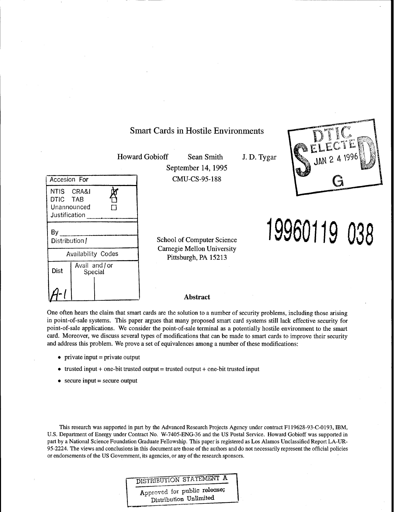# Smart Cards in Hostile Environments

Howard Gobioff Sean Smith

 $\Box$ 

September 14,1995 CMU-CS-95-188 J. D. Tygar



**19960119 038**

School of Computer Science Carnegie Mellon University Pittsburgh, PA 15213

#### **Abstract**

One often hears the claim that smart cards are the solution to a number of security problems, including those arising in point-of-sale systems. This paper argues that many proposed smart card systems still lack effective security for point-of-sale applications. We consider the point-of-sale terminal as a potentially hostile environment to the smart card. Moreover, we discuss several types of modifications that can be made to smart cards to improve their security and address this problem. We prove a set of equivalences among a number of these modifications:

• private input  $=$  private output

Accesion For

NTIS CRA&I DTIC TAB Unannounced **Justification** 

Distribution /

Availability Codes

Avail and/or Special

By .

Dist

*ß±*

- trusted input + one-bit trusted output = trusted output + one-bit trusted input
- $\bullet$  secure input = secure output

This research was supported in part by the Advanced Research Projects Agency under contract F119628-93-C-0193, IBM, U.S. Department of Energy under Contract No. W-7405-ENG-36 and the US Postal Service. Howard Gobioff was supported in part by a National Science Foundation Graduate Fellowship. This paper is registered as Los Alamos Unclassified Report LA-UR-95-2224. The views and conclusions in this document are those of the authors and do not necessarily represent the official policies or endorsements of the US Government, its agencies, or any of the research sponsors.

# DISTRIBUTION STATEMENT A

Approved for public release; Distribution Unlimited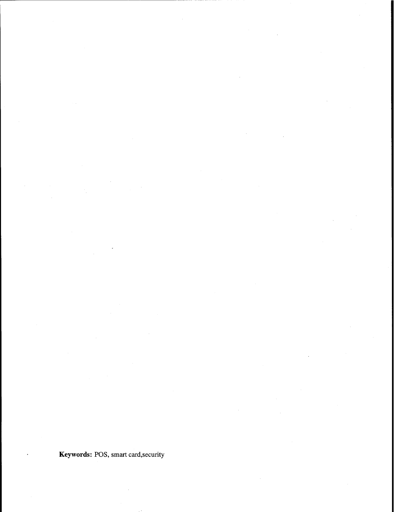Keywords: POS, smart card,security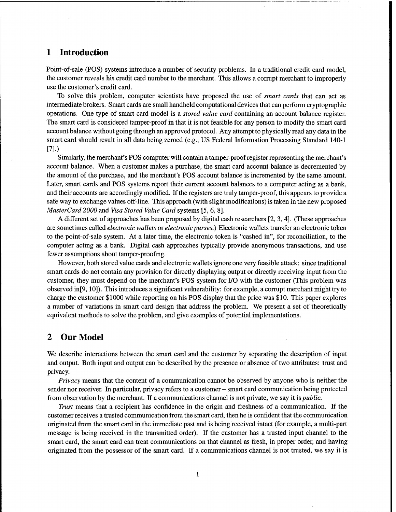### <sup>1</sup> Introduction

Point-of-sale (POS) systems introduce a number of security problems. In a traditional credit card model, the customer reveals his credit card number to the merchant. This allows a corrupt merchant to improperly use the customer's credit card.

To solve this problem, computer scientists have proposed the use of *smart cards* that can act as intermediate brokers. Smart cards are small handheld computational devices that can perform cryptographic operations. One type of smart card model is a *stored value card* containing an account balance register. The smart card is considered tamper-proof in that it is not feasible for any person to modify the smart card account balance without going through an approved protocol. Any attempt to physically read any data in the smart card should result in all data being zeroed (e.g., US Federal Information Processing Standard 140-1 [7].)

Similarly, the merchant's POS computer will contain a tamper-proofregister representing the merchant's account balance. When a customer makes a purchase, the smart card account balance is decremented by the amount of the purchase, and the merchant's POS account balance is incremented by the same amount. Later, smart cards and POS systems report their current account balances to a computer acting as a bank, and their accounts are accordingly modified. If the registers are truly tamper-proof, this appears to provide a safe way to exchange values off-line. This approach (with slight modifications) is taken in the new proposed *MasterCard 2000* and *Visa Stored Value Card* systems [5, 6, 8].

A different set of approaches has been proposed by digital cash researchers [2, 3,4]. (These approaches are sometimes called *electronic wallets* or *electronic purses.)* Electronic wallets transfer an electronic token to the point-of-sale system. At a later time, the electronic token is "cashed in", for reconciliation, to the computer acting as a bank. Digital cash approaches typically provide anonymous transactions, and use fewer assumptions about tamper-proofing.

However, both stored value cards and electronic wallets ignore one very feasible attack: since traditional smart cards do not contain any provision for directly displaying output or directly receiving input from the customer, they must depend on the merchant's POS system for I/O with the customer (This problem was observed in[9,10]). This introduces a significant vulnerability: for example, a corrupt merchant might try to charge the customer \$1000 while reporting on his POS display that the price was \$10. This paper explores a number of variations in smart card design that address the problem. We present a set of theoretically equivalent methods to solve the problem, and give examples of potential implementations.

### 2 Our Model

We describe interactions between the smart card and the customer by separating the description of input and output. Both input and output can be described by the presence or absence of two attributes: trust and privacy.

*Privacy* means that the content of a communication cannot be observed by anyone who is neither the sender nor receiver. In particular, privacy refers to <sup>a</sup> customer - smart card communication being protected from observation by the merchant. If a communications channel is not private, we say it is *public.*

*Trust* means that a recipient has confidence in the origin and freshness of a communication. If the customer receives a trusted communication from the smart card, then he is confident that the communication originated from the smart card in the immediate past and is being received intact (for example, a multi-part message is being received in the transmitted order). If the customer has a trusted input channel to the smart card, the smart card can treat communications on that channel as fresh, in proper order, and having originated from the possessor of the smart card. If a communications channel is not trusted, we say it is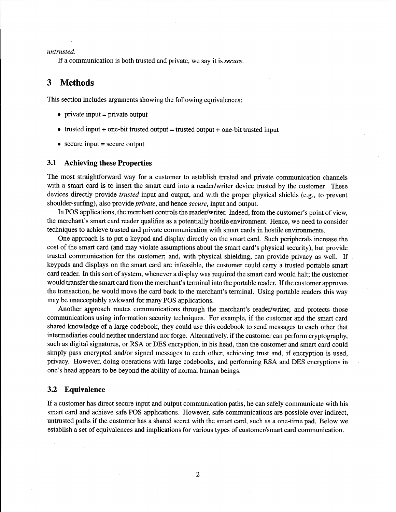*untrusted.*

If a communication is both trusted and private, we say it is *secure.*

### 3 Methods

This section includes arguments showing the following equivalences:

- private input  $=$  private output
- trusted input  $+$  one-bit trusted output  $=$  trusted output  $+$  one-bit trusted input
- $\bullet$  secure input = secure output

#### **3.1 Achieving these Properties**

The most straightforward way for a customer to establish trusted and private communication channels with a smart card is to insert the smart card into a reader/writer device trusted by the customer. These devices directly provide *trusted* input and output, and with the proper physical shields (e.g., to prevent shoulder-surfing), also provide *private,* and hence *secure,* input and output.

In POS applications, the merchant controls the reader/writer. Indeed, from the customer's point of view, the merchant's smart card reader qualifies as a potentially hostile environment. Hence, we need to consider techniques to achieve trusted and private communication with smart cards in hostile environments.

One approach is to put a keypad and display directly on the smart card. Such peripherals increase the cost of the smart card (and may violate assumptions about the smart card's physical security), but provide trusted communication for the customer; and, with physical shielding, can provide privacy as well. If keypads and displays on the smart card are infeasible, the customer could carry a trusted portable smart card reader. In this sort of system, whenever a display was required the smart card would halt; the customer would transfer the smart card from the merchant's terminal into the portable reader. If the customer approves the transaction, he would move the card back to the merchant's terminal. Using portable readers this way may be unacceptably awkward for many POS applications.

Another approach routes communications through the merchant's reader/writer, and protects those communications using information security techniques. For example, if the customer and the smart card shared knowledge of a large codebook, they could use this codebook to send messages to each other that intermediaries could neither understand nor forge. Alternatively, if the customer can perform cryptography, such as digital signatures, or RSA or DES encryption, in his head, then the customer and smart card could simply pass encrypted and/or signed messages to each other, achieving trust and, if encryption is used, privacy. However, doing operations with large codebooks, and performing RSA and DES encryptions in one's head appears to be beyond the ability of normal human beings.

#### **3.2 Equivalence**

If a customer has direct secure input and output communication paths, he can safely communicate with his smart card and achieve safe POS applications. However, safe communications are possible over indirect, untrusted paths if the customer has a shared secret with the smart card, such as a one-time pad. Below we establish a set of equivalences and implications for various types of customer/smart card communication.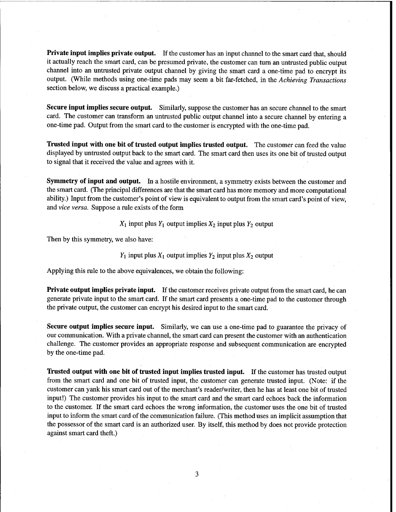**Private input implies private output.** If the customer has an input channel to the smart card that, should it actually reach the smart card, can be presumed private, the customer can turn an untrusted public output channel into an untrusted private output channel by giving the smart card a one-time pad to encrypt its output. (While methods using one-time pads may seem a bit far-fetched, in the *Achieving Transactions* section below, we discuss a practical example.)

**Secure input implies secure output.** Similarly, suppose the customer has an secure channel to the smart card. The customer can transform an untrusted public output channel into a secure channel by entering a one-time pad. Output from the smart card to the customer is encrypted with the one-time pad.

**Trusted input with one bit of trusted output implies trusted output.** The customer can feed the value displayed by untrusted output back to the smart card. The smart card then uses its one bit of trusted output to signal that it received the value and agrees with it.

**Symmetry of input and output.** In a hostile environment, a symmetry exists between the customer and the smart card. (The principal differences are that the smart card has more memory and more computational ability.) Input from the customer's point of view is equivalent to output from the smart card's point of view, and *vice versa.* Suppose a rule exists of the form

 $X_1$  input plus  $Y_1$  output implies  $X_2$  input plus  $Y_2$  output

Then by this symmetry, we also have:

 $Y_1$  input plus  $X_1$  output implies  $Y_2$  input plus  $X_2$  output

Applying this rule to the above equivalences, we obtain the following:

**Private output implies private input.** If the customer receives private output from the smart card, he can generate private input to the smart card. If the smart card presents a one-time pad to the customer through the private output, the customer can encrypt his desired input to the smart card.

**Secure output implies secure input.** Similarly, we can use a one-time pad to guarantee the privacy of our communication. With a private channel, the smart card can present the customer with an authentication challenge. The customer provides an appropriate response and subsequent communication are encrypted by the one-time pad.

**Trusted output with one bit of trusted input implies trusted input.** If the customer has trusted output from the smart card and one bit of trusted input, the customer can generate trusted input. (Note: if the customer can yank his smart card out of the merchant's reader/writer, then he has at least one bit of trusted input!) The customer provides his input to the smart card and the smart card echoes back the information to the customer. If the smart card echoes the wrong information, the customer uses the one bit of trusted input to inform the smart card of the communication failure. (This method uses an implicit assumption that the possessor of the smart card is an authorized user. By itself, this method by does not provide protection against smart card theft.)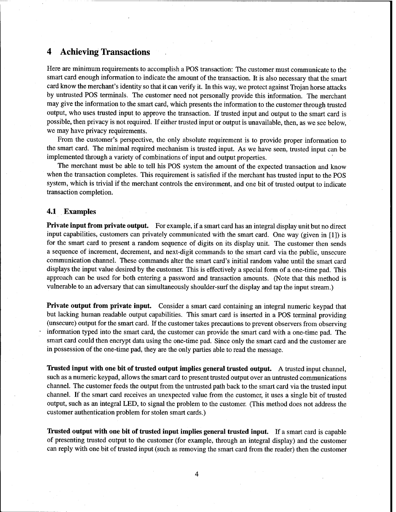## 4 Achieving Transactions

Here are minimum requirements to accomplish a POS transaction: The customer must communicate to the smart card enough information to indicate the amount of the transaction. It is also necessary that the smart card know the merchant's identity so that it can verify it. In this way, we protect against Trojan horse attacks by untrusted POS terminals. The customer need not personally provide this information. The merchant may give the information to the smart card, which presents the information to the customer through trusted output, who uses trusted input to approve the transaction. If trusted input and output to the smart card is possible, then privacy is not required. If either trusted input or output is unavailable, then, as we see below, we may have privacy requirements.

From the customer's perspective, the only absolute requirement is to provide proper information to the smart card. The minimal required mechanism is trusted input. As we have seen, trusted input can be implemented through a variety of combinations of input and output properties.

The merchant must be able to tell his POS system the amount of the expected transaction and know when the transaction completes. This requirement is satisfied if the merchant has trusted input to the POS system, which is trivial if the merchant controls the environment, and one bit of trusted output to indicate transaction completion.

#### **4.1 Examples**

**Private input from private output.** For example, if a smart card has an integral display unit but no direct input capabilities, customers can privately communicated with the smart card. One way (given in [1]) is for the smart card to present a random sequence of digits on its display unit. The customer then sends a sequence of increment, decrement, and next-digit commands to the smart card via the public, unsecure communication channel. These commands alter the smart card's initial random value until the smart card displays the input value desired by the customer. This is effectively a special form of a one-time pad. This approach can be used for both entering a password and transaction amounts. (Note that this method is vulnerable to an adversary that can simultaneously shoulder-surf the display and tap the input stream.)

**Private output from private input.** Consider a smart card containing an integral numeric keypad that but lacking human readable output capabilities. This smart card is inserted in a POS terminal providing (unsecure) output for the smart card. If the customer takes precautions to prevent observers from observing information typed into the smart card, the customer can provide the smart card with a one-time pad. The smart card could then encrypt data using the one-time pad. Since only the smart card and the customer are in possession of the one-time pad, they are the only parties able to read the message.

**Trusted input with one bit of trusted output implies general trusted output.** A trusted input channel, such as a numeric keypad, allows the smart card to present trusted output over an untrusted communications channel. The customer feeds the output from the untrusted path back to the smart card via the trusted input channel. If the smart card receives an unexpected value from the customer, it uses a single bit of trusted output, such as an integral LED, to signal the problem to the customer. (This method does not address the customer authentication problem for stolen smart cards.)

**Trusted output with one bit of trusted input implies general trusted input.** If a smart card is capable of presenting trusted output to the customer (for example, through an integral display) and the customer can reply with one bit of trusted input (such as removing the smart card from the reader) then the customer